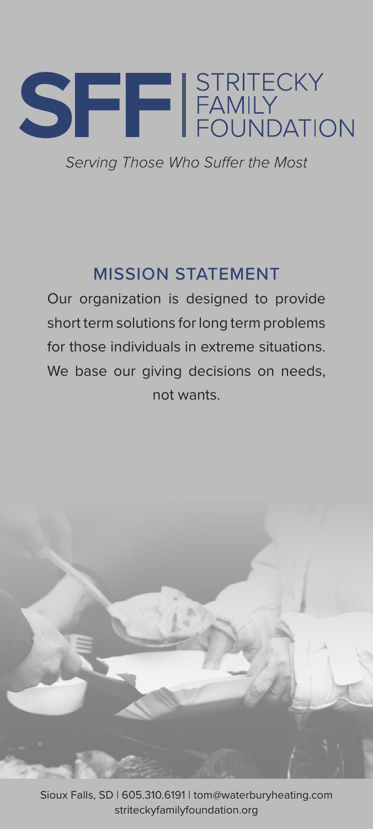

*Serving Those Who Suffer the Most*

## MISSION STATEMENT

Our organization is designed to provide short term solutions for long term problems for those individuals in extreme situations. We base our giving decisions on needs, not wants.



Sioux Falls, SD | 605.310.6191 | tom@waterburyheating.com striteckyfamilyfoundation.org